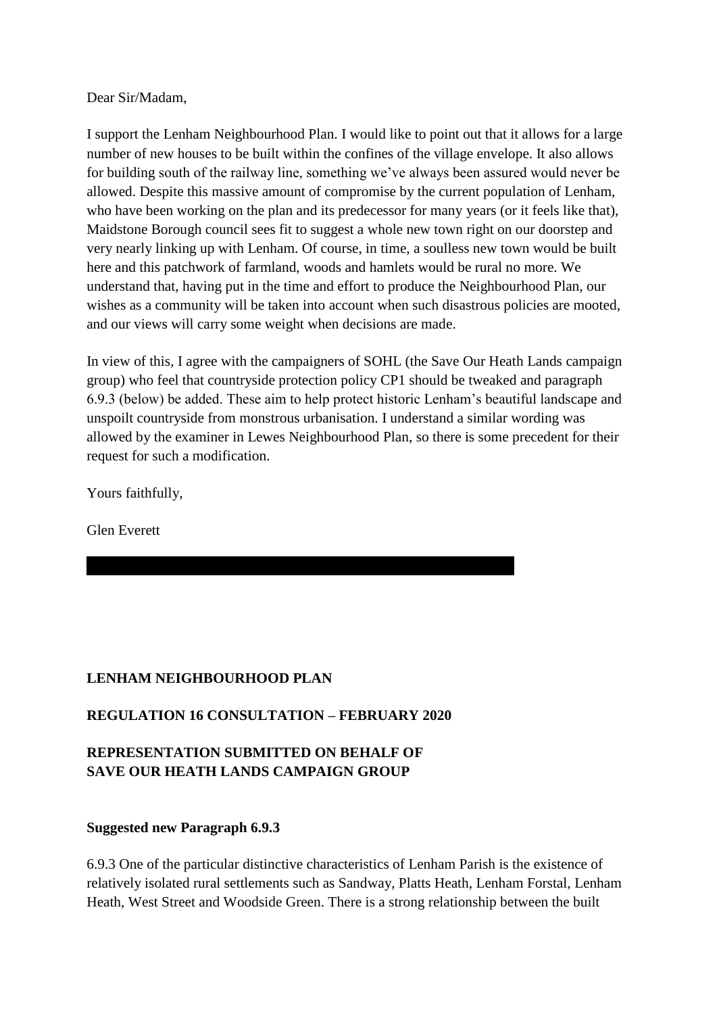#### Dear Sir/Madam,

I support the Lenham Neighbourhood Plan. I would like to point out that it allows for a large number of new houses to be built within the confines of the village envelope. It also allows for building south of the railway line, something we've always been assured would never be allowed. Despite this massive amount of compromise by the current population of Lenham, who have been working on the plan and its predecessor for many years (or it feels like that), Maidstone Borough council sees fit to suggest a whole new town right on our doorstep and very nearly linking up with Lenham. Of course, in time, a soulless new town would be built here and this patchwork of farmland, woods and hamlets would be rural no more. We understand that, having put in the time and effort to produce the Neighbourhood Plan, our wishes as a community will be taken into account when such disastrous policies are mooted, and our views will carry some weight when decisions are made.

In view of this, I agree with the campaigners of SOHL (the Save Our Heath Lands campaign group) who feel that countryside protection policy CP1 should be tweaked and paragraph 6.9.3 (below) be added. These aim to help protect historic Lenham's beautiful landscape and unspoilt countryside from monstrous urbanisation. I understand a similar wording was allowed by the examiner in Lewes Neighbourhood Plan, so there is some precedent for their request for such a modification.

Yours faithfully,

Glen Everett

# **LENHAM NEIGHBOURHOOD PLAN**

# **REGULATION 16 CONSULTATION – FEBRUARY 2020**

# **REPRESENTATION SUBMITTED ON BEHALF OF SAVE OUR HEATH LANDS CAMPAIGN GROUP**

### **Suggested new Paragraph 6.9.3**

6.9.3 One of the particular distinctive characteristics of Lenham Parish is the existence of relatively isolated rural settlements such as Sandway, Platts Heath, Lenham Forstal, Lenham Heath, West Street and Woodside Green. There is a strong relationship between the built